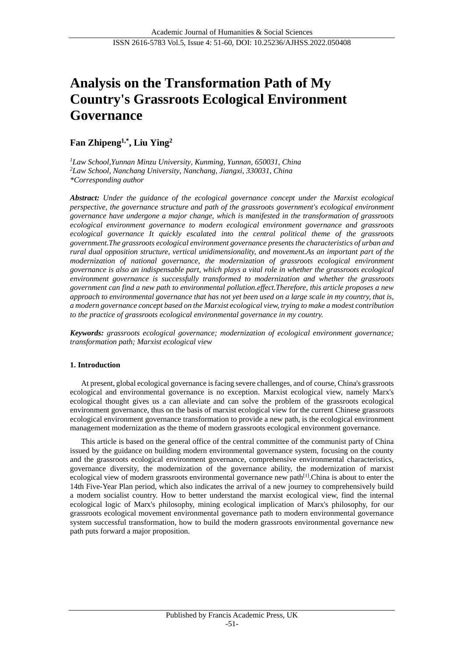# **Analysis on the Transformation Path of My Country's Grassroots Ecological Environment Governance**

# **Fan Zhipeng1,\*, Liu Ying<sup>2</sup>**

*<sup>1</sup>Law School,Yunnan Minzu University, Kunming, Yunnan, 650031, China <sup>2</sup>Law School, Nanchang University, Nanchang, Jiangxi, 330031, China \*Corresponding author*

*Abstract: Under the guidance of the ecological governance concept under the Marxist ecological perspective, the governance structure and path of the grassroots government's ecological environment governance have undergone a major change, which is manifested in the transformation of grassroots ecological environment governance to modern ecological environment governance and grassroots ecological governance It quickly escalated into the central political theme of the grassroots government.The grassroots ecological environment governance presents the characteristics of urban and rural dual opposition structure, vertical unidimensionality, and movement.As an important part of the modernization of national governance, the modernization of grassroots ecological environment governance is also an indispensable part, which plays a vital role in whether the grassroots ecological environment governance is successfully transformed to modernization and whether the grassroots government can find a new path to environmental pollution.effect.Therefore, this article proposes a new approach to environmental governance that has not yet been used on a large scale in my country, that is, a modern governance concept based on the Marxist ecological view, trying to make a modest contribution to the practice of grassroots ecological environmental governance in my country.*

*Keywords: grassroots ecological governance; modernization of ecological environment governance; transformation path; Marxist ecological view*

## **1. Introduction**

At present, global ecological governance is facing severe challenges, and of course, China's grassroots ecological and environmental governance is no exception. Marxist ecological view, namely Marx's ecological thought gives us a can alleviate and can solve the problem of the grassroots ecological environment governance, thus on the basis of marxist ecological view for the current Chinese grassroots ecological environment governance transformation to provide a new path, is the ecological environment management modernization as the theme of modern grassroots ecological environment governance.

This article is based on the general office of the central committee of the communist party of China issued by the guidance on building modern environmental governance system, focusing on the county and the grassroots ecological environment governance, comprehensive environmental characteristics, governance diversity, the modernization of the governance ability, the modernization of marxist ecological view of modern grassroots environmental governance new path<sup>[\[1\]](#page-8-0)</sup>.China is about to enter the 14th Five-Year Plan period, which also indicates the arrival of a new journey to comprehensively build a modern socialist country. How to better understand the marxist ecological view, find the internal ecological logic of Marx's philosophy, mining ecological implication of Marx's philosophy, for our grassroots ecological movement environmental governance path to modern environmental governance system successful transformation, how to build the modern grassroots environmental governance new path puts forward a major proposition.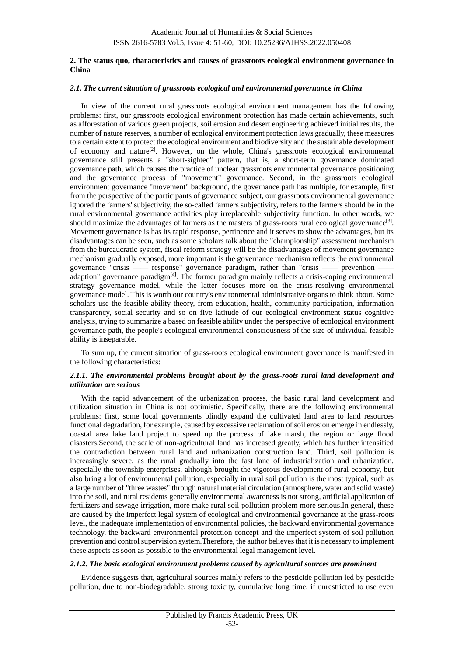#### **2. The status quo, characteristics and causes of grassroots ecological environment governance in China**

## *2.1. The current situation of grassroots ecological and environmental governance in China*

In view of the current rural grassroots ecological environment management has the following problems: first, our grassroots ecological environment protection has made certain achievements, such as afforestation of various green projects, soil erosion and desert engineering achieved initial results, the number of nature reserves, a number of ecological environment protection laws gradually, these measures to a certain extent to protect the ecological environment and biodiversity and the sustainable development of economy and nature<sup>[\[2\]](#page-8-1)</sup>. However, on the whole, China's grassroots ecological environmental governance still presents a "short-sighted" pattern, that is, a short-term governance dominated governance path, which causes the practice of unclear grassroots environmental governance positioning and the governance process of "movement" governance. Second, in the grassroots ecological environment governance "movement" background, the governance path has multiple, for example, first from the perspective of the participants of governance subject, our grassroots environmental governance ignored the farmers' subjectivity, the so-called farmers subjectivity, refers to the farmers should be in the rural environmental governance activities play irreplaceable subjectivity function. In other words, we should maximize the advantages of farmers as the masters of grass-roots rural ecological governance<sup>[\[3\]](#page-8-2)</sup>. Movement governance is has its rapid response, pertinence and it serves to show the advantages, but its disadvantages can be seen, such as some scholars talk about the "championship" assessment mechanism from the bureaucratic system, fiscal reform strategy will be the disadvantages of movement governance mechanism gradually exposed, more important is the governance mechanism reflects the environmental governance "crisis — response" governance paradigm, rather than "crisis — prevention adaption" governance paradigm<sup>[\[4\]](#page-8-3)</sup>. The former paradigm mainly reflects a crisis-coping environmental strategy governance model, while the latter focuses more on the crisis-resolving environmental governance model. This is worth our country's environmental administrative organs to think about. Some scholars use the feasible ability theory, from education, health, community participation, information transparency, social security and so on five latitude of our ecological environment status cognitive analysis, trying to summarize a based on feasible ability under the perspective of ecological environment governance path, the people's ecological environmental consciousness of the size of individual feasible ability is inseparable.

To sum up, the current situation of grass-roots ecological environment governance is manifested in the following characteristics:

## *2.1.1. The environmental problems brought about by the grass-roots rural land development and utilization are serious*

With the rapid advancement of the urbanization process, the basic rural land development and utilization situation in China is not optimistic. Specifically, there are the following environmental problems: first, some local governments blindly expand the cultivated land area to land resources functional degradation, for example, caused by excessive reclamation of soil erosion emerge in endlessly, coastal area lake land project to speed up the process of lake marsh, the region or large flood disasters.Second, the scale of non-agricultural land has increased greatly, which has further intensified the contradiction between rural land and urbanization construction land. Third, soil pollution is increasingly severe, as the rural gradually into the fast lane of industrialization and urbanization, especially the township enterprises, although brought the vigorous development of rural economy, but also bring a lot of environmental pollution, especially in rural soil pollution is the most typical, such as a large number of "three wastes" through natural material circulation (atmosphere, water and solid waste) into the soil, and rural residents generally environmental awareness is not strong, artificial application of fertilizers and sewage irrigation, more make rural soil pollution problem more serious.In general, these are caused by the imperfect legal system of ecological and environmental governance at the grass-roots level, the inadequate implementation of environmental policies, the backward environmental governance technology, the backward environmental protection concept and the imperfect system of soil pollution prevention and control supervision system.Therefore, the author believes that it is necessary to implement these aspects as soon as possible to the environmental legal management level.

#### *2.1.2. The basic ecological environment problems caused by agricultural sources are prominent*

Evidence suggests that, agricultural sources mainly refers to the pesticide pollution led by pesticide pollution, due to non-biodegradable, strong toxicity, cumulative long time, if unrestricted to use even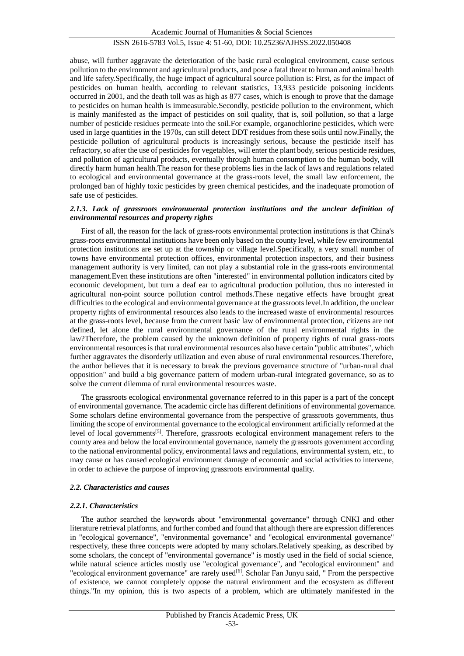abuse, will further aggravate the deterioration of the basic rural ecological environment, cause serious pollution to the environment and agricultural products, and pose a fatal threat to human and animal health and life safety.Specifically, the huge impact of agricultural source pollution is: First, as for the impact of pesticides on human health, according to relevant statistics, 13,933 pesticide poisoning incidents occurred in 2001, and the death toll was as high as 877 cases, which is enough to prove that the damage to pesticides on human health is immeasurable.Secondly, pesticide pollution to the environment, which is mainly manifested as the impact of pesticides on soil quality, that is, soil pollution, so that a large number of pesticide residues permeate into the soil.For example, organochlorine pesticides, which were used in large quantities in the 1970s, can still detect DDT residues from these soils until now.Finally, the pesticide pollution of agricultural products is increasingly serious, because the pesticide itself has refractory, so after the use of pesticides for vegetables, will enter the plant body, serious pesticide residues, and pollution of agricultural products, eventually through human consumption to the human body, will directly harm human health.The reason for these problems lies in the lack of laws and regulations related to ecological and environmental governance at the grass-roots level, the small law enforcement, the prolonged ban of highly toxic pesticides by green chemical pesticides, and the inadequate promotion of safe use of pesticides.

#### *2.1.3. Lack of grassroots environmental protection institutions and the unclear definition of environmental resources and property rights*

First of all, the reason for the lack of grass-roots environmental protection institutions is that China's grass-roots environmental institutions have been only based on the county level, while few environmental protection institutions are set up at the township or village level.Specifically, a very small number of towns have environmental protection offices, environmental protection inspectors, and their business management authority is very limited, can not play a substantial role in the grass-roots environmental management.Even these institutions are often "interested" in environmental pollution indicators cited by economic development, but turn a deaf ear to agricultural production pollution, thus no interested in agricultural non-point source pollution control methods.These negative effects have brought great difficulties to the ecological and environmental governance at the grassroots level.In addition, the unclear property rights of environmental resources also leads to the increased waste of environmental resources at the grass-roots level, because from the current basic law of environmental protection, citizens are not defined, let alone the rural environmental governance of the rural environmental rights in the law?Therefore, the problem caused by the unknown definition of property rights of rural grass-roots environmental resources is that rural environmental resources also have certain "public attributes", which further aggravates the disorderly utilization and even abuse of rural environmental resources.Therefore, the author believes that it is necessary to break the previous governance structure of "urban-rural dual opposition" and build a big governance pattern of modern urban-rural integrated governance, so as to solve the current dilemma of rural environmental resources waste.

The grassroots ecological environmental governance referred to in this paper is a part of the concept of environmental governance. The academic circle has different definitions of environmental governance. Some scholars define environmental governance from the perspective of grassroots governments, thus limiting the scope of environmental governance to the ecological environment artificially reformed at the level of local governments<sup>[\[5\]](#page-8-4)</sup>. Therefore, grassroots ecological environment management refers to the county area and below the local environmental governance, namely the grassroots government according to the national environmental policy, environmental laws and regulations, environmental system, etc., to may cause or has caused ecological environment damage of economic and social activities to intervene, in order to achieve the purpose of improving grassroots environmental quality.

#### *2.2. Characteristics and causes*

#### *2.2.1. Characteristics*

The author searched the keywords about "environmental governance" through CNKI and other literature retrieval platforms, and further combed and found that although there are expression differences in "ecological governance", "environmental governance" and "ecological environmental governance" respectively, these three concepts were adopted by many scholars.Relatively speaking, as described by some scholars, the concept of "environmental governance" is mostly used in the field of social science, while natural science articles mostly use "ecological governance", and "ecological environment" and "ecological environment governance" are rarely used<sup>[\[6\]](#page-8-5)</sup>. Scholar Fan Junyu said, " From the perspective of existence, we cannot completely oppose the natural environment and the ecosystem as different things."In my opinion, this is two aspects of a problem, which are ultimately manifested in the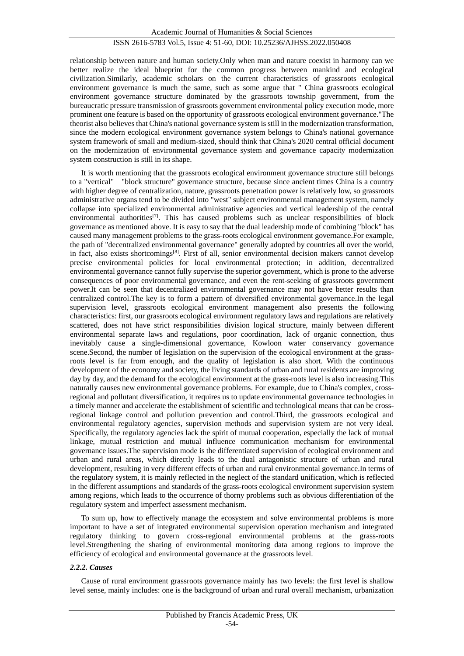relationship between nature and human society.Only when man and nature coexist in harmony can we better realize the ideal blueprint for the common progress between mankind and ecological civilization.Similarly, academic scholars on the current characteristics of grassroots ecological environment governance is much the same, such as some argue that " China grassroots ecological environment governance structure dominated by the grassroots township government, from the bureaucratic pressure transmission of grassroots government environmental policy execution mode, more prominent one feature is based on the opportunity of grassroots ecological environment governance."The theorist also believes that China's national governance system is still in the modernization transformation, since the modern ecological environment governance system belongs to China's national governance system framework of small and medium-sized, should think that China's 2020 central official document on the modernization of environmental governance system and governance capacity modernization system construction is still in its shape.

It is worth mentioning that the grassroots ecological environment governance structure still belongs to a "vertical" "block structure" governance structure, because since ancient times China is a country with higher degree of centralization, nature, grassroots penetration power is relatively low, so grassroots administrative organs tend to be divided into "west" subject environmental management system, namely collapse into specialized environmental administrative agencies and vertical leadership of the central environmental authorities<sup>[\[7\]](#page-8-6)</sup>. This has caused problems such as unclear responsibilities of block governance as mentioned above. It is easy to say that the dual leadership mode of combining "block" has caused many management problems to the grass-roots ecological environment governance.For example, the path of "decentralized environmental governance" generally adopted by countries all over the world, in fact, also exists shortcomings<sup>[\[8\]](#page-8-7)</sup>. First of all, senior environmental decision makers cannot develop precise environmental policies for local environmental protection; in addition, decentralized environmental governance cannot fully supervise the superior government, which is prone to the adverse consequences of poor environmental governance, and even the rent-seeking of grassroots government power.It can be seen that decentralized environmental governance may not have better results than centralized control.The key is to form a pattern of diversified environmental governance.In the legal supervision level, grassroots ecological environment management also presents the following characteristics: first, our grassroots ecological environment regulatory laws and regulations are relatively scattered, does not have strict responsibilities division logical structure, mainly between different environmental separate laws and regulations, poor coordination, lack of organic connection, thus inevitably cause a single-dimensional governance, Kowloon water conservancy governance scene.Second, the number of legislation on the supervision of the ecological environment at the grassroots level is far from enough, and the quality of legislation is also short. With the continuous development of the economy and society, the living standards of urban and rural residents are improving day by day, and the demand for the ecological environment at the grass-roots level is also increasing.This naturally causes new environmental governance problems. For example, due to China's complex, crossregional and pollutant diversification, it requires us to update environmental governance technologies in a timely manner and accelerate the establishment of scientific and technological means that can be crossregional linkage control and pollution prevention and control.Third, the grassroots ecological and environmental regulatory agencies, supervision methods and supervision system are not very ideal. Specifically, the regulatory agencies lack the spirit of mutual cooperation, especially the lack of mutual linkage, mutual restriction and mutual influence communication mechanism for environmental governance issues.The supervision mode is the differentiated supervision of ecological environment and urban and rural areas, which directly leads to the dual antagonistic structure of urban and rural development, resulting in very different effects of urban and rural environmental governance.In terms of the regulatory system, it is mainly reflected in the neglect of the standard unification, which is reflected in the different assumptions and standards of the grass-roots ecological environment supervision system among regions, which leads to the occurrence of thorny problems such as obvious differentiation of the regulatory system and imperfect assessment mechanism.

To sum up, how to effectively manage the ecosystem and solve environmental problems is more important to have a set of integrated environmental supervision operation mechanism and integrated regulatory thinking to govern cross-regional environmental problems at the grass-roots level.Strengthening the sharing of environmental monitoring data among regions to improve the efficiency of ecological and environmental governance at the grassroots level.

#### *2.2.2. Causes*

Cause of rural environment grassroots governance mainly has two levels: the first level is shallow level sense, mainly includes: one is the background of urban and rural overall mechanism, urbanization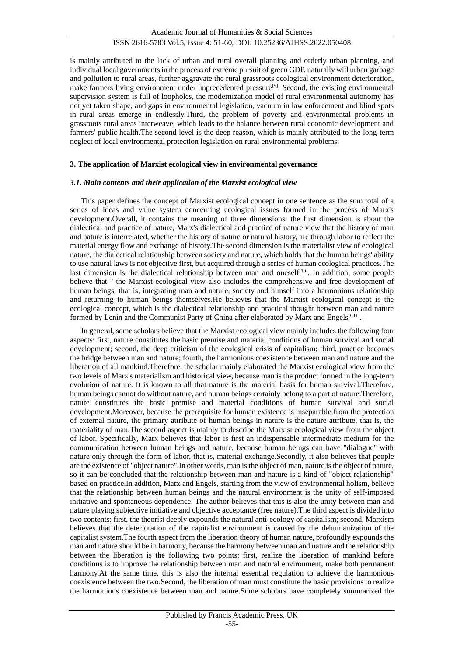is mainly attributed to the lack of urban and rural overall planning and orderly urban planning, and individual local governments in the process of extreme pursuit of green GDP, naturally will urban garbage and pollution to rural areas, further aggravate the rural grassroots ecological environment deterioration, make farmers living environment under unprecedented pressure<sup>[\[9\]](#page-8-8)</sup>. Second, the existing environmental supervision system is full of loopholes, the modernization model of rural environmental autonomy has not yet taken shape, and gaps in environmental legislation, vacuum in law enforcement and blind spots in rural areas emerge in endlessly.Third, the problem of poverty and environmental problems in grassroots rural areas interweave, which leads to the balance between rural economic development and farmers' public health.The second level is the deep reason, which is mainly attributed to the long-term neglect of local environmental protection legislation on rural environmental problems.

#### **3. The application of Marxist ecological view in environmental governance**

#### *3.1. Main contents and their application of the Marxist ecological view*

This paper defines the concept of Marxist ecological concept in one sentence as the sum total of a series of ideas and value system concerning ecological issues formed in the process of Marx's development.Overall, it contains the meaning of three dimensions: the first dimension is about the dialectical and practice of nature, Marx's dialectical and practice of nature view that the history of man and nature is interrelated, whether the history of nature or natural history, are through labor to reflect the material energy flow and exchange of history.The second dimension is the materialist view of ecological nature, the dialectical relationship between society and nature, which holds that the human beings' ability to use natural laws is not objective first, but acquired through a series of human ecological practices.The last dimension is the dialectical relationship between man and oneself<sup>[\[10\]](#page-8-9)</sup>. In addition, some people believe that " the Marxist ecological view also includes the comprehensive and free development of human beings, that is, integrating man and nature, society and himself into a harmonious relationship and returning to human beings themselves.He believes that the Marxist ecological concept is the ecological concept, which is the dialectical relationship and practical thought between man and nature formed by Lenin and the Communist Party of China after elaborated by Marx and Engels"[\[11\]](#page-9-0).

In general, some scholars believe that the Marxist ecological view mainly includes the following four aspects: first, nature constitutes the basic premise and material conditions of human survival and social development; second, the deep criticism of the ecological crisis of capitalism; third, practice becomes the bridge between man and nature; fourth, the harmonious coexistence between man and nature and the liberation of all mankind.Therefore, the scholar mainly elaborated the Marxist ecological view from the two levels of Marx's materialism and historical view, because man is the product formed in the long-term evolution of nature. It is known to all that nature is the material basis for human survival.Therefore, human beings cannot do without nature, and human beings certainly belong to a part of nature.Therefore, nature constitutes the basic premise and material conditions of human survival and social development.Moreover, because the prerequisite for human existence is inseparable from the protection of external nature, the primary attribute of human beings in nature is the nature attribute, that is, the materiality of man.The second aspect is mainly to describe the Marxist ecological view from the object of labor. Specifically, Marx believes that labor is first an indispensable intermediate medium for the communication between human beings and nature, because human beings can have "dialogue" with nature only through the form of labor, that is, material exchange.Secondly, it also believes that people are the existence of "object nature".In other words, man is the object of man, nature is the object of nature, so it can be concluded that the relationship between man and nature is a kind of "object relationship" based on practice.In addition, Marx and Engels, starting from the view of environmental holism, believe that the relationship between human beings and the natural environment is the unity of self-imposed initiative and spontaneous dependence. The author believes that this is also the unity between man and nature playing subjective initiative and objective acceptance (free nature).The third aspect is divided into two contents: first, the theorist deeply expounds the natural anti-ecology of capitalism; second, Marxism believes that the deterioration of the capitalist environment is caused by the dehumanization of the capitalist system.The fourth aspect from the liberation theory of human nature, profoundly expounds the man and nature should be in harmony, because the harmony between man and nature and the relationship between the liberation is the following two points: first, realize the liberation of mankind before conditions is to improve the relationship between man and natural environment, make both permanent harmony.At the same time, this is also the internal essential regulation to achieve the harmonious coexistence between the two.Second, the liberation of man must constitute the basic provisions to realize the harmonious coexistence between man and nature.Some scholars have completely summarized the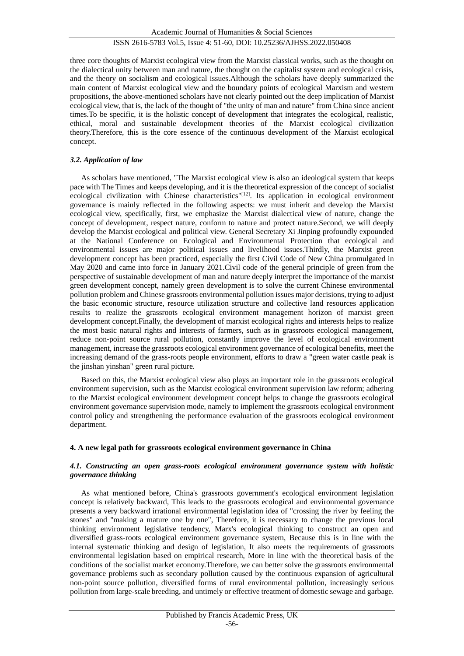three core thoughts of Marxist ecological view from the Marxist classical works, such as the thought on the dialectical unity between man and nature, the thought on the capitalist system and ecological crisis, and the theory on socialism and ecological issues.Although the scholars have deeply summarized the main content of Marxist ecological view and the boundary points of ecological Marxism and western propositions, the above-mentioned scholars have not clearly pointed out the deep implication of Marxist ecological view, that is, the lack of the thought of "the unity of man and nature" from China since ancient times.To be specific, it is the holistic concept of development that integrates the ecological, realistic, ethical, moral and sustainable development theories of the Marxist ecological civilization theory.Therefore, this is the core essence of the continuous development of the Marxist ecological concept.

#### *3.2. Application of law*

As scholars have mentioned, "The Marxist ecological view is also an ideological system that keeps pace with The Times and keeps developing, and it is the theoretical expression of the concept of socialist ecological civilization with Chinese characteristics"<sup>[\[12\]](#page-9-1)</sup>. Its application in ecological environment governance is mainly reflected in the following aspects: we must inherit and develop the Marxist ecological view, specifically, first, we emphasize the Marxist dialectical view of nature, change the concept of development, respect nature, conform to nature and protect nature.Second, we will deeply develop the Marxist ecological and political view. General Secretary Xi Jinping profoundly expounded at the National Conference on Ecological and Environmental Protection that ecological and environmental issues are major political issues and livelihood issues.Thirdly, the Marxist green development concept has been practiced, especially the first Civil Code of New China promulgated in May 2020 and came into force in January 2021.Civil code of the general principle of green from the perspective of sustainable development of man and nature deeply interpret the importance of the marxist green development concept, namely green development is to solve the current Chinese environmental pollution problem and Chinese grassroots environmental pollution issues major decisions, trying to adjust the basic economic structure, resource utilization structure and collective land resources application results to realize the grassroots ecological environment management horizon of marxist green development concept.Finally, the development of marxist ecological rights and interests helps to realize the most basic natural rights and interests of farmers, such as in grassroots ecological management, reduce non-point source rural pollution, constantly improve the level of ecological environment management, increase the grassroots ecological environment governance of ecological benefits, meet the increasing demand of the grass-roots people environment, efforts to draw a "green water castle peak is the jinshan yinshan" green rural picture.

Based on this, the Marxist ecological view also plays an important role in the grassroots ecological environment supervision, such as the Marxist ecological environment supervision law reform; adhering to the Marxist ecological environment development concept helps to change the grassroots ecological environment governance supervision mode, namely to implement the grassroots ecological environment control policy and strengthening the performance evaluation of the grassroots ecological environment department.

## **4. A new legal path for grassroots ecological environment governance in China**

## *4.1. Constructing an open grass-roots ecological environment governance system with holistic governance thinking*

As what mentioned before, China's grassroots government's ecological environment legislation concept is relatively backward, This leads to the grassroots ecological and environmental governance presents a very backward irrational environmental legislation idea of "crossing the river by feeling the stones" and "making a mature one by one", Therefore, it is necessary to change the previous local thinking environment legislative tendency, Marx's ecological thinking to construct an open and diversified grass-roots ecological environment governance system, Because this is in line with the internal systematic thinking and design of legislation, It also meets the requirements of grassroots environmental legislation based on empirical research, More in line with the theoretical basis of the conditions of the socialist market economy.Therefore, we can better solve the grassroots environmental governance problems such as secondary pollution caused by the continuous expansion of agricultural non-point source pollution, diversified forms of rural environmental pollution, increasingly serious pollution from large-scale breeding, and untimely or effective treatment of domestic sewage and garbage.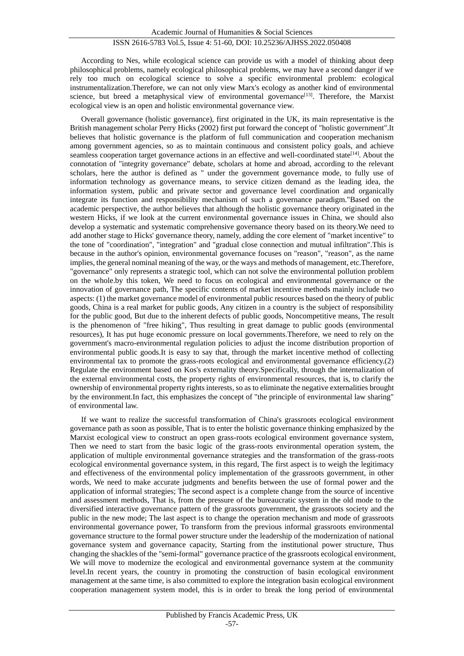According to Nes, while ecological science can provide us with a model of thinking about deep philosophical problems, namely ecological philosophical problems, we may have a second danger if we rely too much on ecological science to solve a specific environmental problem: ecological instrumentalization.Therefore, we can not only view Marx's ecology as another kind of environmental science, but breed a metaphysical view of environmental governance<sup>[\[13\]](#page-9-2)</sup>. Therefore, the Marxist ecological view is an open and holistic environmental governance view.

Overall governance (holistic governance), first originated in the UK, its main representative is the British management scholar Perry Hicks (2002) first put forward the concept of "holistic government".It believes that holistic governance is the platform of full communication and cooperation mechanism among government agencies, so as to maintain continuous and consistent policy goals, and achieve seamless cooperation target governance actions in an effective and well-coordinated state<sup>[\[14\]](#page-9-3)</sup>. About the connotation of "integrity governance" debate, scholars at home and abroad, according to the relevant scholars, here the author is defined as " under the government governance mode, to fully use of information technology as governance means, to service citizen demand as the leading idea, the information system, public and private sector and governance level coordination and organically integrate its function and responsibility mechanism of such a governance paradigm."Based on the academic perspective, the author believes that although the holistic governance theory originated in the western Hicks, if we look at the current environmental governance issues in China, we should also develop a systematic and systematic comprehensive governance theory based on its theory.We need to add another stage to Hicks' governance theory, namely, adding the core element of "market incentive" to the tone of "coordination", "integration" and "gradual close connection and mutual infiltration".This is because in the author's opinion, environmental governance focuses on "reason", "reason", as the name implies, the general nominal meaning of the way, or the ways and methods of management, etc.Therefore, "governance" only represents a strategic tool, which can not solve the environmental pollution problem on the whole.by this token, We need to focus on ecological and environmental governance or the innovation of governance path, The specific contents of market incentive methods mainly include two aspects: (1) the market governance model of environmental public resources based on the theory of public goods, China is a real market for public goods, Any citizen in a country is the subject of responsibility for the public good, But due to the inherent defects of public goods, Noncompetitive means, The result is the phenomenon of "free hiking", Thus resulting in great damage to public goods (environmental resources), It has put huge economic pressure on local governments.Therefore, we need to rely on the government's macro-environmental regulation policies to adjust the income distribution proportion of environmental public goods.It is easy to say that, through the market incentive method of collecting environmental tax to promote the grass-roots ecological and environmental governance efficiency.(2) Regulate the environment based on Kos's externality theory.Specifically, through the internalization of the external environmental costs, the property rights of environmental resources, that is, to clarify the ownership of environmental property rights interests, so as to eliminate the negative externalities brought by the environment.In fact, this emphasizes the concept of "the principle of environmental law sharing" of environmental law.

If we want to realize the successful transformation of China's grassroots ecological environment governance path as soon as possible, That is to enter the holistic governance thinking emphasized by the Marxist ecological view to construct an open grass-roots ecological environment governance system, Then we need to start from the basic logic of the grass-roots environmental operation system, the application of multiple environmental governance strategies and the transformation of the grass-roots ecological environmental governance system, in this regard, The first aspect is to weigh the legitimacy and effectiveness of the environmental policy implementation of the grassroots government, in other words, We need to make accurate judgments and benefits between the use of formal power and the application of informal strategies; The second aspect is a complete change from the source of incentive and assessment methods, That is, from the pressure of the bureaucratic system in the old mode to the diversified interactive governance pattern of the grassroots government, the grassroots society and the public in the new mode; The last aspect is to change the operation mechanism and mode of grassroots environmental governance power, To transform from the previous informal grassroots environmental governance structure to the formal power structure under the leadership of the modernization of national governance system and governance capacity, Starting from the institutional power structure, Thus changing the shackles of the "semi-formal" governance practice of the grassroots ecological environment, We will move to modernize the ecological and environmental governance system at the community level.In recent years, the country in promoting the construction of basin ecological environment management at the same time, is also committed to explore the integration basin ecological environment cooperation management system model, this is in order to break the long period of environmental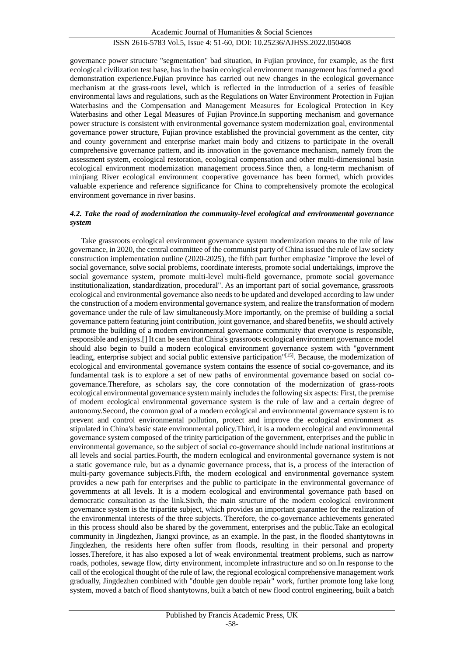governance power structure "segmentation" bad situation, in Fujian province, for example, as the first ecological civilization test base, has in the basin ecological environment management has formed a good demonstration experience.Fujian province has carried out new changes in the ecological governance mechanism at the grass-roots level, which is reflected in the introduction of a series of feasible environmental laws and regulations, such as the Regulations on Water Environment Protection in Fujian Waterbasins and the Compensation and Management Measures for Ecological Protection in Key Waterbasins and other Legal Measures of Fujian Province.In supporting mechanism and governance power structure is consistent with environmental governance system modernization goal, environmental governance power structure, Fujian province established the provincial government as the center, city and county government and enterprise market main body and citizens to participate in the overall comprehensive governance pattern, and its innovation in the governance mechanism, namely from the assessment system, ecological restoration, ecological compensation and other multi-dimensional basin ecological environment modernization management process.Since then, a long-term mechanism of minjiang River ecological environment cooperative governance has been formed, which provides valuable experience and reference significance for China to comprehensively promote the ecological environment governance in river basins.

#### *4.2. Take the road of modernization the community-level ecological and environmental governance system*

Take grassroots ecological environment governance system modernization means to the rule of law governance, in 2020, the central committee of the communist party of China issued the rule of law society construction implementation outline (2020-2025), the fifth part further emphasize "improve the level of social governance, solve social problems, coordinate interests, promote social undertakings, improve the social governance system, promote multi-level multi-field governance, promote social governance institutionalization, standardization, procedural". As an important part of social governance, grassroots ecological and environmental governance also needs to be updated and developed according to law under the construction of a modern environmental governance system, and realize the transformation of modern governance under the rule of law simultaneously.More importantly, on the premise of building a social governance pattern featuring joint contribution, joint governance, and shared benefits, we should actively promote the building of a modern environmental governance community that everyone is responsible, responsible and enjoys.[] It can be seen that China's grassroots ecological environment governance model should also begin to build a modern ecological environment governance system with "government leading, enterprise subject and social public extensive participation"[\[15\]](#page-9-4). Because, the modernization of ecological and environmental governance system contains the essence of social co-governance, and its fundamental task is to explore a set of new paths of environmental governance based on social cogovernance.Therefore, as scholars say, the core connotation of the modernization of grass-roots ecological environmental governance system mainly includes the following six aspects: First, the premise of modern ecological environmental governance system is the rule of law and a certain degree of autonomy.Second, the common goal of a modern ecological and environmental governance system is to prevent and control environmental pollution, protect and improve the ecological environment as stipulated in China's basic state environmental policy.Third, it is a modern ecological and environmental governance system composed of the trinity participation of the government, enterprises and the public in environmental governance, so the subject of social co-governance should include national institutions at all levels and social parties.Fourth, the modern ecological and environmental governance system is not a static governance rule, but as a dynamic governance process, that is, a process of the interaction of multi-party governance subjects.Fifth, the modern ecological and environmental governance system provides a new path for enterprises and the public to participate in the environmental governance of governments at all levels. It is a modern ecological and environmental governance path based on democratic consultation as the link.Sixth, the main structure of the modern ecological environment governance system is the tripartite subject, which provides an important guarantee for the realization of the environmental interests of the three subjects. Therefore, the co-governance achievements generated in this process should also be shared by the government, enterprises and the public.Take an ecological community in Jingdezhen, Jiangxi province, as an example. In the past, in the flooded shantytowns in Jingdezhen, the residents here often suffer from floods, resulting in their personal and property losses.Therefore, it has also exposed a lot of weak environmental treatment problems, such as narrow roads, potholes, sewage flow, dirty environment, incomplete infrastructure and so on.In response to the call of the ecological thought of the rule of law, the regional ecological comprehensive management work gradually, Jingdezhen combined with "double gen double repair" work, further promote long lake long system, moved a batch of flood shantytowns, built a batch of new flood control engineering, built a batch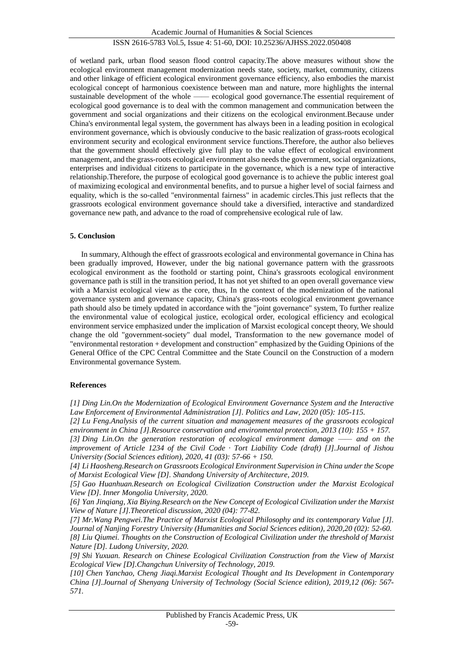of wetland park, urban flood season flood control capacity.The above measures without show the ecological environment management modernization needs state, society, market, community, citizens and other linkage of efficient ecological environment governance efficiency, also embodies the marxist ecological concept of harmonious coexistence between man and nature, more highlights the internal sustainable development of the whole —— ecological good governance.The essential requirement of ecological good governance is to deal with the common management and communication between the government and social organizations and their citizens on the ecological environment.Because under China's environmental legal system, the government has always been in a leading position in ecological environment governance, which is obviously conducive to the basic realization of grass-roots ecological environment security and ecological environment service functions.Therefore, the author also believes that the government should effectively give full play to the value effect of ecological environment management, and the grass-roots ecological environment also needs the government, social organizations, enterprises and individual citizens to participate in the governance, which is a new type of interactive relationship.Therefore, the purpose of ecological good governance is to achieve the public interest goal of maximizing ecological and environmental benefits, and to pursue a higher level of social fairness and equality, which is the so-called "environmental fairness" in academic circles.This just reflects that the grassroots ecological environment governance should take a diversified, interactive and standardized governance new path, and advance to the road of comprehensive ecological rule of law.

#### **5. Conclusion**

In summary, Although the effect of grassroots ecological and environmental governance in China has been gradually improved, However, under the big national governance pattern with the grassroots ecological environment as the foothold or starting point, China's grassroots ecological environment governance path is still in the transition period, It has not yet shifted to an open overall governance view with a Marxist ecological view as the core, thus, In the context of the modernization of the national governance system and governance capacity, China's grass-roots ecological environment governance path should also be timely updated in accordance with the "joint governance" system, To further realize the environmental value of ecological justice, ecological order, ecological efficiency and ecological environment service emphasized under the implication of Marxist ecological concept theory, We should change the old "government-society" dual model, Transformation to the new governance model of "environmental restoration + development and construction" emphasized by the Guiding Opinions of the General Office of the CPC Central Committee and the State Council on the Construction of a modern Environmental governance System.

#### **References**

<span id="page-8-1"></span>*[2] Lu Feng.Analysis of the current situation and management measures of the grassroots ecological environment in China [J].Resource conservation and environmental protection, 2013 (10): 155 + 157.*

<span id="page-8-2"></span>*[3] Ding Lin.On the generation restoration of ecological environment damage —— and on the improvement of Article 1234 of the Civil Code · Tort Liability Code (draft) [J].Journal of Jishou University (Social Sciences edition), 2020, 41 (03): 57-66 + 150.*

<span id="page-8-3"></span>*[4] Li Haosheng.Research on Grassroots Ecological Environment Supervision in China under the Scope of Marxist Ecological View [D]. Shandong University of Architecture, 2019.*

<span id="page-8-4"></span>*[5] Gao Huanhuan.Research on Ecological Civilization Construction under the Marxist Ecological View [D]. Inner Mongolia University, 2020.*

<span id="page-8-5"></span>*[6] Yan Jinqiang, Xia Biying.Research on the New Concept of Ecological Civilization under the Marxist View of Nature [J].Theoretical discussion, 2020 (04): 77-82.*

<span id="page-8-6"></span>*[7] Mr.Wang Pengwei.The Practice of Marxist Ecological Philosophy and its contemporary Value [J]. Journal of Nanjing Forestry University (Humanities and Social Sciences edition), 2020,20 (02): 52-60. [8] Liu Qiumei. Thoughts on the Construction of Ecological Civilization under the threshold of Marxist Nature [D]. Ludong University, 2020.*

<span id="page-8-8"></span><span id="page-8-7"></span>*[9] Shi Yuxuan. Research on Chinese Ecological Civilization Construction from the View of Marxist Ecological View [D].Changchun University of Technology, 2019.*

<span id="page-8-9"></span>*[10] Chen Yanchao, Cheng Jiaqi.Marxist Ecological Thought and Its Development in Contemporary China [J].Journal of Shenyang University of Technology (Social Science edition), 2019,12 (06): 567- 571.*

<span id="page-8-0"></span>*<sup>[1]</sup> Ding Lin.On the Modernization of Ecological Environment Governance System and the Interactive Law Enforcement of Environmental Administration [J]. Politics and Law, 2020 (05): 105-115.*